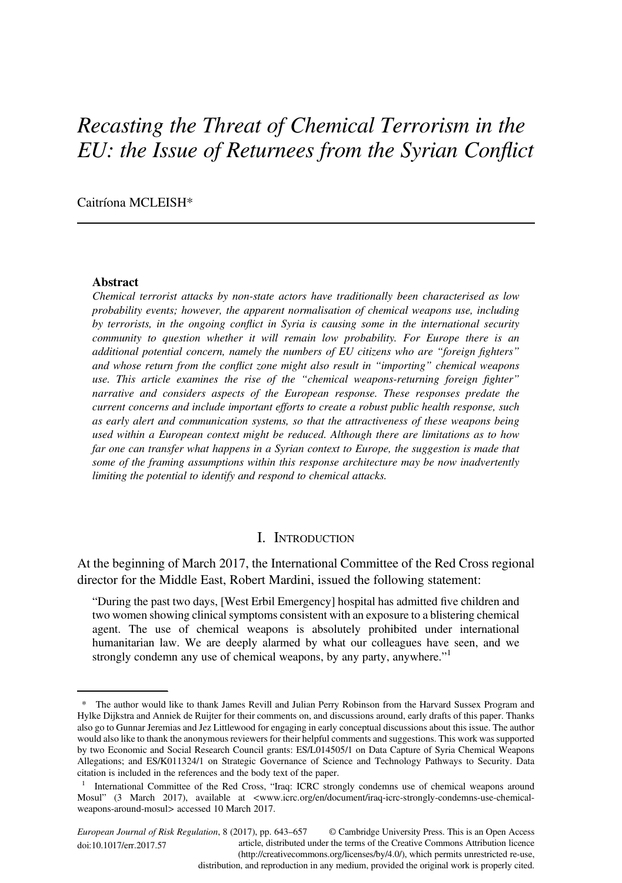# Recasting the Threat of Chemical Terrorism in the EU: the Issue of Returnees from the Syrian Conflict

#### Caitríona MCLEISH\*

#### Abstract

Chemical terrorist attacks by non-state actors have traditionally been characterised as low probability events; however, the apparent normalisation of chemical weapons use, including by terrorists, in the ongoing conflict in Syria is causing some in the international security community to question whether it will remain low probability. For Europe there is an additional potential concern, namely the numbers of EU citizens who are "foreign fighters" and whose return from the conflict zone might also result in "importing" chemical weapons use. This article examines the rise of the "chemical weapons-returning foreign fighter" narrative and considers aspects of the European response. These responses predate the current concerns and include important efforts to create a robust public health response, such as early alert and communication systems, so that the attractiveness of these weapons being used within a European context might be reduced. Although there are limitations as to how far one can transfer what happens in a Syrian context to Europe, the suggestion is made that some of the framing assumptions within this response architecture may be now inadvertently limiting the potential to identify and respond to chemical attacks.

#### I. INTRODUCTION

At the beginning of March 2017, the International Committee of the Red Cross regional director for the Middle East, Robert Mardini, issued the following statement:

"During the past two days, [West Erbil Emergency] hospital has admitted five children and two women showing clinical symptoms consistent with an exposure to a blistering chemical agent. The use of chemical weapons is absolutely prohibited under international humanitarian law. We are deeply alarmed by what our colleagues have seen, and we strongly condemn any use of chemical weapons, by any party, anywhere."<sup>1</sup>

<sup>\*</sup> The author would like to thank James Revill and Julian Perry Robinson from the Harvard Sussex Program and Hylke Dijkstra and Anniek de Ruijter for their comments on, and discussions around, early drafts of this paper. Thanks also go to Gunnar Jeremias and Jez Littlewood for engaging in early conceptual discussions about this issue. The author would also like to thank the anonymous reviewers for their helpful comments and suggestions. This work was supported by two Economic and Social Research Council grants: ES/L014505/1 on Data Capture of Syria Chemical Weapons Allegations; and ES/K011324/1 on Strategic Governance of Science and Technology Pathways to Security. Data citation is included in the references and the body text of the paper.

<sup>1</sup> International Committee of the Red Cross, "Iraq: ICRC strongly condemns use of chemical weapons around Mosul" (3 March 2017), available at  $\langle$ [www.icrc.org/en/document/iraq-icrc-strongly-condemns-use-chemical](www.icrc.org/en/document/iraq-icrc-strongly-condemns-use-chemical-weapons-around-mosul)[weapons-around-mosul](www.icrc.org/en/document/iraq-icrc-strongly-condemns-use-chemical-weapons-around-mosul)> accessed 10 March 2017.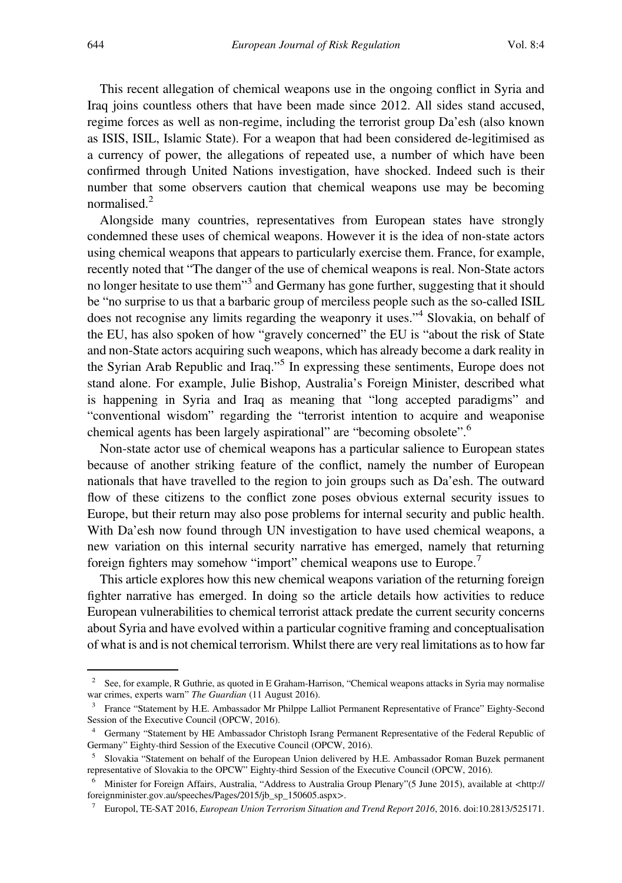This recent allegation of chemical weapons use in the ongoing conflict in Syria and Iraq joins countless others that have been made since 2012. All sides stand accused, regime forces as well as non-regime, including the terrorist group Da'esh (also known as ISIS, ISIL, Islamic State). For a weapon that had been considered de-legitimised as a currency of power, the allegations of repeated use, a number of which have been confirmed through United Nations investigation, have shocked. Indeed such is their number that some observers caution that chemical weapons use may be becoming normalised. $2$ 

Alongside many countries, representatives from European states have strongly condemned these uses of chemical weapons. However it is the idea of non-state actors using chemical weapons that appears to particularly exercise them. France, for example, recently noted that "The danger of the use of chemical weapons is real. Non-State actors no longer hesitate to use them"<sup>3</sup> and Germany has gone further, suggesting that it should be "no surprise to us that a barbaric group of merciless people such as the so-called ISIL does not recognise any limits regarding the weaponry it uses." <sup>4</sup> Slovakia, on behalf of the EU, has also spoken of how "gravely concerned" the EU is "about the risk of State and non-State actors acquiring such weapons, which has already become a dark reality in the Syrian Arab Republic and Iraq."<sup>5</sup> In expressing these sentiments, Europe does not stand alone. For example, Julie Bishop, Australia's Foreign Minister, described what is happening in Syria and Iraq as meaning that "long accepted paradigms" and "conventional wisdom" regarding the "terrorist intention to acquire and weaponise chemical agents has been largely aspirational" are "becoming obsolete".<sup>6</sup>

Non-state actor use of chemical weapons has a particular salience to European states because of another striking feature of the conflict, namely the number of European nationals that have travelled to the region to join groups such as Da'esh. The outward flow of these citizens to the conflict zone poses obvious external security issues to Europe, but their return may also pose problems for internal security and public health. With Da'esh now found through UN investigation to have used chemical weapons, a new variation on this internal security narrative has emerged, namely that returning foreign fighters may somehow "import" chemical weapons use to Europe.<sup>7</sup>

This article explores how this new chemical weapons variation of the returning foreign fighter narrative has emerged. In doing so the article details how activities to reduce European vulnerabilities to chemical terrorist attack predate the current security concerns about Syria and have evolved within a particular cognitive framing and conceptualisation of what is and is not chemical terrorism. Whilst there are very real limitations as to how far

<sup>&</sup>lt;sup>2</sup> See, for example, R Guthrie, as quoted in E Graham-Harrison, "Chemical weapons attacks in Syria may normalise war crimes, experts warn" The Guardian (11 August 2016).

<sup>&</sup>lt;sup>3</sup> France "Statement by H.E. Ambassador Mr Philppe Lalliot Permanent Representative of France" Eighty-Second Session of the Executive Council (OPCW, 2016).

<sup>4</sup> Germany "Statement by HE Ambassador Christoph Israng Permanent Representative of the Federal Republic of Germany" Eighty-third Session of the Executive Council (OPCW, 2016).

<sup>5</sup> Slovakia "Statement on behalf of the European Union delivered by H.E. Ambassador Roman Buzek permanent representative of Slovakia to the OPCW" Eighty-third Session of the Executive Council (OPCW, 2016).

<sup>6</sup> Minister for Foreign Affairs, Australia, "Address to Australia Group Plenary"(5 June 2015), available at <[http://](http://foreignminister.gov.au/speeches/Pages/2015/jb_sp_150605.aspx) [foreignminister.gov.au/speeches/Pages/2015/jb\\_sp\\_150605.aspx](http://foreignminister.gov.au/speeches/Pages/2015/jb_sp_150605.aspx)>.

<sup>7</sup> Europol, TE-SAT 2016, European Union Terrorism Situation and Trend Report 2016, 2016. doi:10.2813/525171.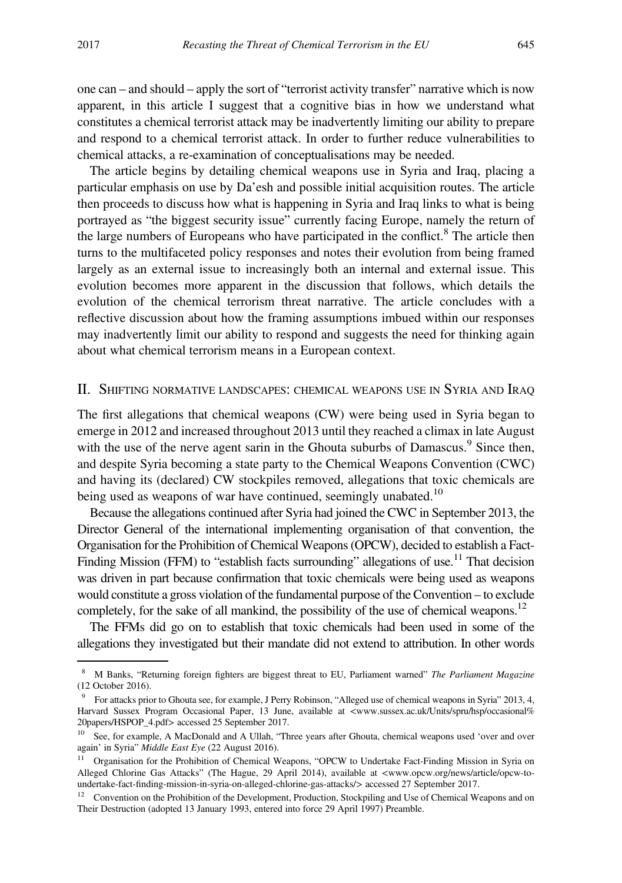one can – and should – apply the sort of "terrorist activity transfer" narrative which is now apparent, in this article I suggest that a cognitive bias in how we understand what constitutes a chemical terrorist attack may be inadvertently limiting our ability to prepare and respond to a chemical terrorist attack. In order to further reduce vulnerabilities to chemical attacks, a re-examination of conceptualisations may be needed.

The article begins by detailing chemical weapons use in Syria and Iraq, placing a particular emphasis on use by Da'esh and possible initial acquisition routes. The article then proceeds to discuss how what is happening in Syria and Iraq links to what is being portrayed as "the biggest security issue" currently facing Europe, namely the return of the large numbers of Europeans who have participated in the conflict.<sup>8</sup> The article then turns to the multifaceted policy responses and notes their evolution from being framed largely as an external issue to increasingly both an internal and external issue. This evolution becomes more apparent in the discussion that follows, which details the evolution of the chemical terrorism threat narrative. The article concludes with a reflective discussion about how the framing assumptions imbued within our responses may inadvertently limit our ability to respond and suggests the need for thinking again about what chemical terrorism means in a European context.

#### II. SHIFTING NORMATIVE LANDSCAPES: CHEMICAL WEAPONS USE IN SYRIA AND IRAQ

The first allegations that chemical weapons (CW) were being used in Syria began to emerge in 2012 and increased throughout 2013 until they reached a climax in late August with the use of the nerve agent sarin in the Ghouta suburbs of Damascus.<sup>9</sup> Since then, and despite Syria becoming a state party to the Chemical Weapons Convention (CWC) and having its (declared) CW stockpiles removed, allegations that toxic chemicals are being used as weapons of war have continued, seemingly unabated.<sup>10</sup>

Because the allegations continued after Syria had joined the CWC in September 2013, the Director General of the international implementing organisation of that convention, the Organisation for the Prohibition of Chemical Weapons (OPCW), decided to establish a Fact-Finding Mission (FFM) to "establish facts surrounding" allegations of use.<sup>11</sup> That decision was driven in part because confirmation that toxic chemicals were being used as weapons would constitute a gross violation of the fundamental purpose of the Convention – to exclude completely, for the sake of all mankind, the possibility of the use of chemical weapons.<sup>12</sup>

The FFMs did go on to establish that toxic chemicals had been used in some of the allegations they investigated but their mandate did not extend to attribution. In other words

<sup>8</sup> M Banks, "Returning foreign fighters are biggest threat to EU, Parliament warned" The Parliament Magazine (12 October 2016).

<sup>9</sup> For attacks prior to Ghouta see, for example, J Perry Robinson, "Alleged use of chemical weapons in Syria" 2013, 4, Harvard Sussex Program Occasional Paper, 13 June, available at <[www.sussex.ac.uk/Units/spru/hsp/occasional%](www.sussex.ac.uk/Units/spru/hsp/occasional%20papers/HSPOP_4.pdf) [20papers/HSPOP\\_4.pdf](www.sussex.ac.uk/Units/spru/hsp/occasional%20papers/HSPOP_4.pdf)> accessed 25 September 2017.

<sup>&</sup>lt;sup>10</sup> See, for example, A MacDonald and A Ullah, "Three years after Ghouta, chemical weapons used 'over and over again' in Syria" *Middle East Eye* (22 August 2016).<br><sup>11</sup> Organisation for the Probibition of Chemical W

<sup>11</sup> Organisation for the Prohibition of Chemical Weapons, "OPCW to Undertake Fact-Finding Mission in Syria on Alleged Chlorine Gas Attacks" (The Hague, 29 April 2014), available at <[www.opcw.org/news/article/opcw-to](www.opcw.org/news/article/opcw-to-undertake-fact-finding-mission-in-syria-on-alleged-chlorine-gas-attacks/)undertake-fact-fi[nding-mission-in-syria-on-alleged-chlorine-gas-attacks/](www.opcw.org/news/article/opcw-to-undertake-fact-finding-mission-in-syria-on-alleged-chlorine-gas-attacks/)> accessed 27 September 2017.

<sup>&</sup>lt;sup>12</sup> Convention on the Prohibition of the Development, Production, Stockpiling and Use of Chemical Weapons and on Their Destruction (adopted 13 January 1993, entered into force 29 April 1997) Preamble.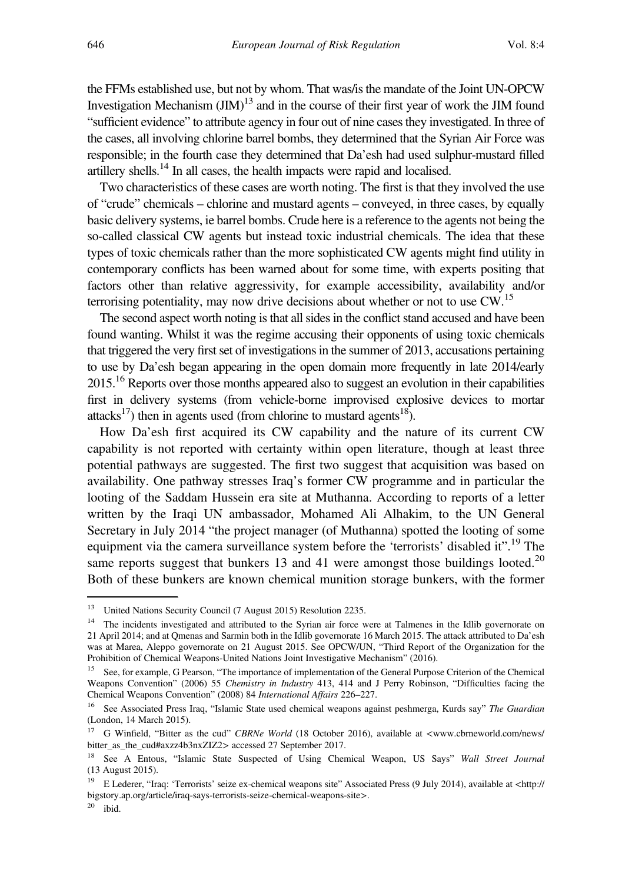the FFMs established use, but not by whom. That was/is the mandate of the Joint UN-OPCW Investigation Mechanism  $(JIM)^{13}$  and in the course of their first year of work the JIM found "sufficient evidence" to attribute agency in four out of nine cases they investigated. In three of the cases, all involving chlorine barrel bombs, they determined that the Syrian Air Force was responsible; in the fourth case they determined that Da'esh had used sulphur-mustard filled artillery shells. $<sup>14</sup>$  In all cases, the health impacts were rapid and localised.</sup>

Two characteristics of these cases are worth noting. The first is that they involved the use of "crude" chemicals – chlorine and mustard agents – conveyed, in three cases, by equally basic delivery systems, ie barrel bombs. Crude here is a reference to the agents not being the so-called classical CW agents but instead toxic industrial chemicals. The idea that these types of toxic chemicals rather than the more sophisticated CW agents might find utility in contemporary conflicts has been warned about for some time, with experts positing that factors other than relative aggressivity, for example accessibility, availability and/or terrorising potentiality, may now drive decisions about whether or not to use CW.<sup>15</sup>

The second aspect worth noting is that all sides in the conflict stand accused and have been found wanting. Whilst it was the regime accusing their opponents of using toxic chemicals that triggered the very first set of investigations in the summer of 2013, accusations pertaining to use by Da'esh began appearing in the open domain more frequently in late 2014/early 2015.<sup>16</sup> Reports over those months appeared also to suggest an evolution in their capabilities first in delivery systems (from vehicle-borne improvised explosive devices to mortar attacks<sup>17</sup>) then in agents used (from chlorine to mustard agents<sup>18</sup>).

How Da'esh first acquired its CW capability and the nature of its current CW capability is not reported with certainty within open literature, though at least three potential pathways are suggested. The first two suggest that acquisition was based on availability. One pathway stresses Iraq's former CW programme and in particular the looting of the Saddam Hussein era site at Muthanna. According to reports of a letter written by the Iraqi UN ambassador, Mohamed Ali Alhakim, to the UN General Secretary in July 2014 "the project manager (of Muthanna) spotted the looting of some equipment via the camera surveillance system before the 'terrorists' disabled it".<sup>19</sup> The same reports suggest that bunkers 13 and 41 were amongst those buildings looted.<sup>20</sup> Both of these bunkers are known chemical munition storage bunkers, with the former

<sup>&</sup>lt;sup>13</sup> United Nations Security Council (7 August 2015) Resolution 2235.

<sup>&</sup>lt;sup>14</sup> The incidents investigated and attributed to the Syrian air force were at Talmenes in the Idlib governorate on 21 April 2014; and at Qmenas and Sarmin both in the Idlib governorate 16 March 2015. The attack attributed to Da'esh was at Marea, Aleppo governorate on 21 August 2015. See OPCW/UN, "Third Report of the Organization for the Prohibition of Chemical Weapons-United Nations Joint Investigative Mechanism" (2016).

<sup>&</sup>lt;sup>15</sup> See, for example, G Pearson, "The importance of implementation of the General Purpose Criterion of the Chemical Weapons Convention" (2006) 55 Chemistry in Industry 413, 414 and J Perry Robinson, "Difficulties facing the Chemical Weapons Convention" (2008) 84 International Affairs 226–227.

<sup>&</sup>lt;sup>16</sup> See Associated Press Iraq, "Islamic State used chemical weapons against peshmerga, Kurds say" The Guardian (London, 14 March 2015).

<sup>&</sup>lt;sup>17</sup> G Winfield, "Bitter as the cud" *CBRNe World* (18 October 2016), available at  $\lt$ [www.cbrneworld.com/news/](www.cbrneworld.com/news/bitter_as_the_cud#axzz4b3nxZIZ2) [bitter\\_as\\_the\\_cud#axzz4b3nxZIZ2](www.cbrneworld.com/news/bitter_as_the_cud#axzz4b3nxZIZ2)> accessed 27 September 2017.

<sup>&</sup>lt;sup>18</sup> See A Entous, "Islamic State Suspected of Using Chemical Weapon, US Says" Wall Street Journal (13 August 2015).

<sup>&</sup>lt;sup>19</sup> E Lederer, "Iraq: 'Terrorists' seize ex-chemical weapons site" Associated Press (9 July 2014), available at <[http://](http://bigstory.ap.org/article/iraq-says-terrorists-seize-chemical-weapons-site) [bigstory.ap.org/article/iraq-says-terrorists-seize-chemical-weapons-site](http://bigstory.ap.org/article/iraq-says-terrorists-seize-chemical-weapons-site)>.

<sup>20</sup> ibid.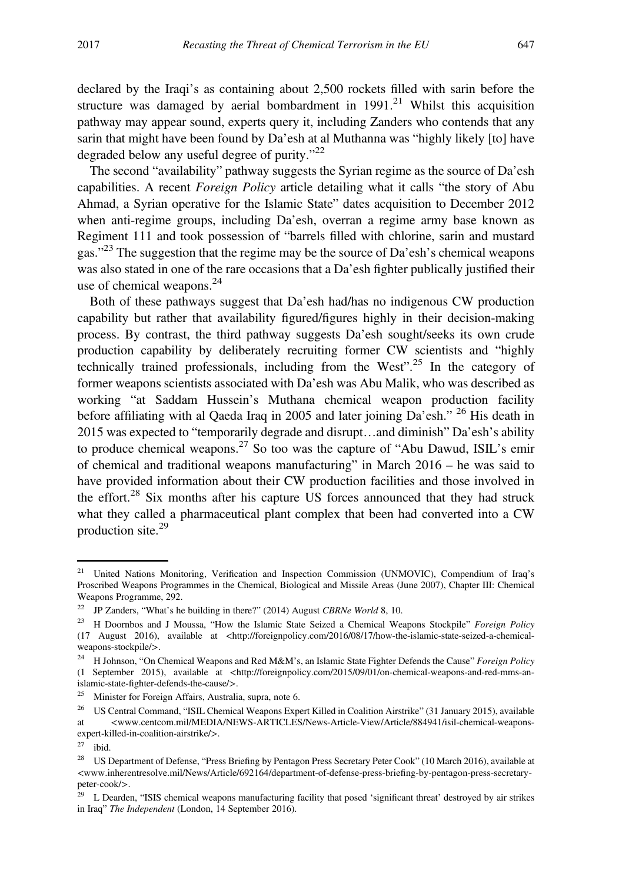declared by the Iraqi's as containing about 2,500 rockets filled with sarin before the structure was damaged by aerial bombardment in  $1991<sup>21</sup>$  Whilst this acquisition pathway may appear sound, experts query it, including Zanders who contends that any sarin that might have been found by Da'esh at al Muthanna was "highly likely [to] have degraded below any useful degree of purity."<sup>22</sup>

The second "availability" pathway suggests the Syrian regime as the source of Da'esh capabilities. A recent *Foreign Policy* article detailing what it calls "the story of Abu Ahmad, a Syrian operative for the Islamic State" dates acquisition to December 2012 when anti-regime groups, including Da'esh, overran a regime army base known as Regiment 111 and took possession of "barrels filled with chlorine, sarin and mustard gas."<sup>23</sup> The suggestion that the regime may be the source of Da'esh's chemical weapons was also stated in one of the rare occasions that a Da'esh fighter publically justified their use of chemical weapons. $24$ 

Both of these pathways suggest that Da'esh had/has no indigenous CW production capability but rather that availability figured/figures highly in their decision-making process. By contrast, the third pathway suggests Da'esh sought/seeks its own crude production capability by deliberately recruiting former CW scientists and "highly technically trained professionals, including from the West". <sup>25</sup> In the category of former weapons scientists associated with Da'esh was Abu Malik, who was described as working "at Saddam Hussein's Muthana chemical weapon production facility before affiliating with al Qaeda Iraq in 2005 and later joining Da'esh." <sup>26</sup> His death in 2015 was expected to "temporarily degrade and disrupt…and diminish" Da'esh's ability to produce chemical weapons.<sup>27</sup> So too was the capture of "Abu Dawud, ISIL's emir of chemical and traditional weapons manufacturing" in March 2016 – he was said to have provided information about their CW production facilities and those involved in the effort.<sup>28</sup> Six months after his capture US forces announced that they had struck what they called a pharmaceutical plant complex that been had converted into a CW production site.29

<sup>&</sup>lt;sup>21</sup> United Nations Monitoring, Verification and Inspection Commission (UNMOVIC), Compendium of Iraq's Proscribed Weapons Programmes in the Chemical, Biological and Missile Areas (June 2007), Chapter III: Chemical Weapons Programme, 292.

<sup>&</sup>lt;sup>22</sup> JP Zanders, "What's he building in there?" (2014) August CBRNe World 8, 10.

<sup>&</sup>lt;sup>23</sup> H Doornbos and J Moussa, "How the Islamic State Seized a Chemical Weapons Stockpile" Foreign Policy (17 August 2016), available at <[http://foreignpolicy.com/2016/08/17/how-the-islamic-state-seized-a-chemical](http://foreignpolicy.com/2016�/�08/17/how-the-islamic-state-seized-a-chemical-weapons-stockpile/)[weapons-stockpile/](http://foreignpolicy.com/2016�/�08/17/how-the-islamic-state-seized-a-chemical-weapons-stockpile/)>.

<sup>&</sup>lt;sup>24</sup> H Johnson, "On Chemical Weapons and Red M&M's, an Islamic State Fighter Defends the Cause" Foreign Policy (1 September 2015), available at <[http://foreignpolicy.com/2015/09/01/on-chemical-weapons-and-red-mms-an](http://foreignpolicy.com/2015�/�09/01/on-chemical-weapons-and-red-mms-an-islamic-state-fighter-defends-the-cause/)islamic-state-fi[ghter-defends-the-cause/](http://foreignpolicy.com/2015�/�09/01/on-chemical-weapons-and-red-mms-an-islamic-state-fighter-defends-the-cause/) $>$ .<br><sup>25</sup> Minister for Foreign Affairs, Australia

Minister for Foreign Affairs, Australia, supra, note 6.

<sup>&</sup>lt;sup>26</sup> US Central Command, "ISIL Chemical Weapons Expert Killed in Coalition Airstrike" (31 January 2015), available at <[www.centcom.mil/MEDIA/NEWS-ARTICLES/News-Article-View/Article/884941/isil-chemical-weapons](www.centcom.mil/MEDIA/NEWS-ARTICLES/News-Article-View/Article/884941/isil-chemical-weapons-expert-killed-in-coalition-airstrike/)[expert-killed-in-coalition-airstrike/](www.centcom.mil/MEDIA/NEWS-ARTICLES/News-Article-View/Article/884941/isil-chemical-weapons-expert-killed-in-coalition-airstrike/)>.

ibid.

<sup>&</sup>lt;sup>28</sup> US Department of Defense, "Press Briefing by Pentagon Press Secretary Peter Cook" (10 March 2016), available at <[www.inherentresolve.mil/News/Article/692164/department-of-defense-press-brie](www.inherentresolve.mil/News/Article/692164/department-of-defense-press-briefing-by-pentagon-press-secretary-peter-cook/)fing-by-pentagon-press-secretary[peter-cook/](www.inherentresolve.mil/News/Article/692164/department-of-defense-press-briefing-by-pentagon-press-secretary-peter-cook/)>.

<sup>&</sup>lt;sup>29</sup> L Dearden, "ISIS chemical weapons manufacturing facility that posed 'significant threat' destroyed by air strikes in Iraq" The Independent (London, 14 September 2016).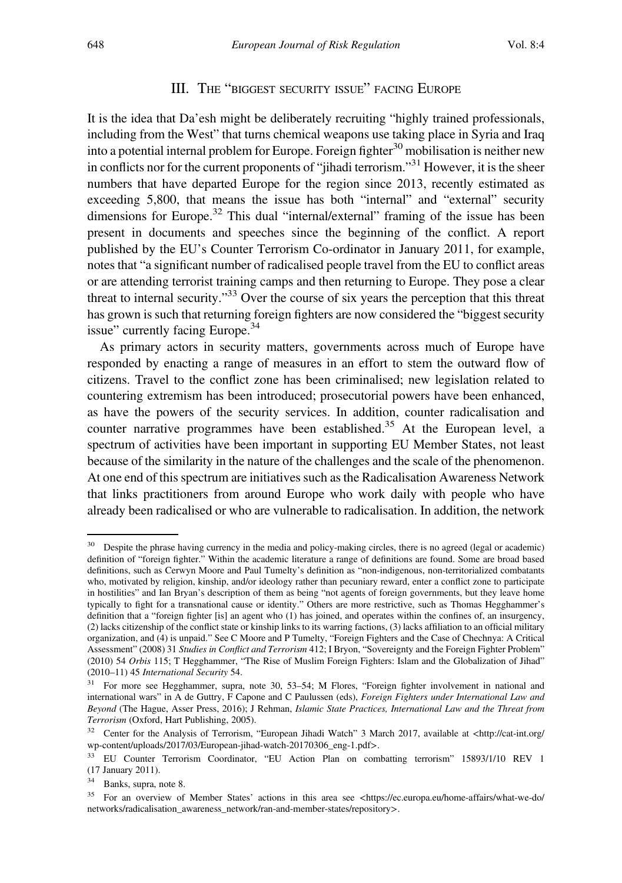## III. THE "BIGGEST SECURITY ISSUE" FACING EUROPE

It is the idea that Da'esh might be deliberately recruiting "highly trained professionals, including from the West" that turns chemical weapons use taking place in Syria and Iraq into a potential internal problem for Europe. Foreign fighter<sup>30</sup> mobilisation is neither new in conflicts nor for the current proponents of "jihadi terrorism."<sup>31</sup> However, it is the sheer numbers that have departed Europe for the region since 2013, recently estimated as exceeding 5,800, that means the issue has both "internal" and "external" security dimensions for Europe.<sup>32</sup> This dual "internal/external" framing of the issue has been present in documents and speeches since the beginning of the conflict. A report published by the EU's Counter Terrorism Co-ordinator in January 2011, for example, notes that "a significant number of radicalised people travel from the EU to conflict areas or are attending terrorist training camps and then returning to Europe. They pose a clear threat to internal security."<sup>33</sup> Over the course of six years the perception that this threat has grown is such that returning foreign fighters are now considered the "biggest security issue" currently facing Europe.<sup>34</sup>

As primary actors in security matters, governments across much of Europe have responded by enacting a range of measures in an effort to stem the outward flow of citizens. Travel to the conflict zone has been criminalised; new legislation related to countering extremism has been introduced; prosecutorial powers have been enhanced, as have the powers of the security services. In addition, counter radicalisation and counter narrative programmes have been established.<sup>35</sup> At the European level, a spectrum of activities have been important in supporting EU Member States, not least because of the similarity in the nature of the challenges and the scale of the phenomenon. At one end of this spectrum are initiatives such as the Radicalisation Awareness Network that links practitioners from around Europe who work daily with people who have already been radicalised or who are vulnerable to radicalisation. In addition, the network

Despite the phrase having currency in the media and policy-making circles, there is no agreed (legal or academic) definition of "foreign fighter." Within the academic literature a range of definitions are found. Some are broad based definitions, such as Cerwyn Moore and Paul Tumelty's definition as "non-indigenous, non-territorialized combatants who, motivated by religion, kinship, and/or ideology rather than pecuniary reward, enter a conflict zone to participate in hostilities" and Ian Bryan's description of them as being "not agents of foreign governments, but they leave home typically to fight for a transnational cause or identity." Others are more restrictive, such as Thomas Hegghammer's definition that a "foreign fighter [is] an agent who (1) has joined, and operates within the confines of, an insurgency, (2) lacks citizenship of the conflict state or kinship links to its warring factions, (3) lacks affiliation to an official military organization, and (4) is unpaid." See C Moore and P Tumelty, "Foreign Fighters and the Case of Chechnya: A Critical Assessment" (2008) 31 Studies in Conflict and Terrorism 412; I Bryon, "Sovereignty and the Foreign Fighter Problem" (2010) 54 Orbis 115; T Hegghammer, "The Rise of Muslim Foreign Fighters: Islam and the Globalization of Jihad" (2010–11) 45 International Security 54.

 $31$  For more see Hegghammer, supra, note 30, 53–54; M Flores, "Foreign fighter involvement in national and international wars" in A de Guttry, F Capone and C Paulussen (eds), Foreign Fighters under International Law and Beyond (The Hague, Asser Press, 2016); J Rehman, Islamic State Practices, International Law and the Threat from Terrorism (Oxford, Hart Publishing, 2005).

<sup>&</sup>lt;sup>32</sup> Center for the Analysis of Terrorism, "European Jihadi Watch" 3 March 2017, available at <[http://cat-int.org/](http://cat-int.org/wp-content/uploads/2017�/�03/European-jihad-watch-20170306_eng-1.pdf) [wp-content/uploads/2017/03/European-jihad-watch-20170306\\_eng-1.pdf](http://cat-int.org/wp-content/uploads/2017�/�03/European-jihad-watch-20170306_eng-1.pdf)>.

<sup>33</sup> EU Counter Terrorism Coordinator, "EU Action Plan on combatting terrorism" 15893/1/10 REV 1 (17 January 2011).

<sup>34</sup> Banks, supra, note 8.

<sup>35</sup> For an overview of Member States' actions in this area see <[https://ec.europa.eu/home-affairs/what-we-do/](https://ec.europa.eu/home-affairs/what-we-do/networks/radicalisation_awareness_network/ran-and-member-states/repository) [networks/radicalisation\\_awareness\\_network/ran-and-member-states/repository](https://ec.europa.eu/home-affairs/what-we-do/networks/radicalisation_awareness_network/ran-and-member-states/repository)>.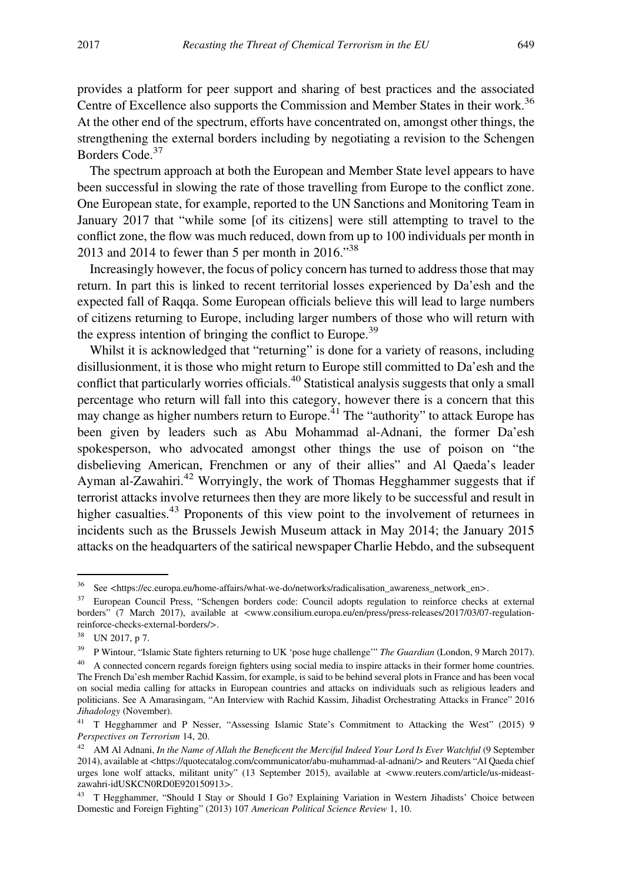provides a platform for peer support and sharing of best practices and the associated Centre of Excellence also supports the Commission and Member States in their work.<sup>36</sup> At the other end of the spectrum, efforts have concentrated on, amongst other things, the strengthening the external borders including by negotiating a revision to the Schengen Borders Code.37

The spectrum approach at both the European and Member State level appears to have been successful in slowing the rate of those travelling from Europe to the conflict zone. One European state, for example, reported to the UN Sanctions and Monitoring Team in January 2017 that "while some [of its citizens] were still attempting to travel to the conflict zone, the flow was much reduced, down from up to 100 individuals per month in 2013 and 2014 to fewer than 5 per month in  $2016$ ."<sup>38</sup>

Increasingly however, the focus of policy concern has turned to address those that may return. In part this is linked to recent territorial losses experienced by Da'esh and the expected fall of Raqqa. Some European officials believe this will lead to large numbers of citizens returning to Europe, including larger numbers of those who will return with the express intention of bringing the conflict to Europe.<sup>39</sup>

Whilst it is acknowledged that "returning" is done for a variety of reasons, including disillusionment, it is those who might return to Europe still committed to Da'esh and the conflict that particularly worries officials.<sup>40</sup> Statistical analysis suggests that only a small percentage who return will fall into this category, however there is a concern that this may change as higher numbers return to Europe.<sup>41</sup> The "authority" to attack Europe has been given by leaders such as Abu Mohammad al-Adnani, the former Da'esh spokesperson, who advocated amongst other things the use of poison on "the disbelieving American, Frenchmen or any of their allies" and Al Qaeda's leader Ayman al-Zawahiri.<sup>42</sup> Worryingly, the work of Thomas Hegghammer suggests that if terrorist attacks involve returnees then they are more likely to be successful and result in higher casualties.<sup>43</sup> Proponents of this view point to the involvement of returnees in incidents such as the Brussels Jewish Museum attack in May 2014; the January 2015 attacks on the headquarters of the satirical newspaper Charlie Hebdo, and the subsequent

<sup>36</sup> See <[https://ec.europa.eu/home-affairs/what-we-do/networks/radicalisation\\_awareness\\_network\\_en](https://ec.europa.eu/home-affairs/what-we-do/networks/radicalisation_awareness_network_en)>.<br>37 European Council Press, "Schengen borders code: Council adopts regulation to reinforce checks

<sup>37</sup> European Council Press, "Schengen borders code: Council adopts regulation to reinforce checks at external borders" (7 March 2017), available at <[www.consilium.europa.eu/en/press/press-releases/2017/03/07-regulation](www.consilium.europa.eu/en/press/press-releases/2017�/�03/07-regulation-reinforce-checks-external-borders/)[reinforce-checks-external-borders/](www.consilium.europa.eu/en/press/press-releases/2017�/�03/07-regulation-reinforce-checks-external-borders/)>.

<sup>38</sup> UN 2017, p 7.

<sup>&</sup>lt;sup>39</sup> P Wintour, "Islamic State fighters returning to UK 'pose huge challenge'" The Guardian (London, 9 March 2017).

<sup>&</sup>lt;sup>40</sup> A connected concern regards foreign fighters using social media to inspire attacks in their former home countries. The French Da'esh member Rachid Kassim, for example, is said to be behind several plots in France and has been vocal on social media calling for attacks in European countries and attacks on individuals such as religious leaders and politicians. See A Amarasingam, "An Interview with Rachid Kassim, Jihadist Orchestrating Attacks in France" 2016 Jihadology (November).

<sup>41</sup> T Hegghammer and P Nesser, "Assessing Islamic State's Commitment to Attacking the West" (2015) 9 Perspectives on Terrorism 14, 20.

 $42$  AM Al Adnani, In the Name of Allah the Beneficent the Merciful Indeed Your Lord Is Ever Watchful (9 September 2014), available at <<https://quotecatalog.com/communicator/abu-muhammad-al-adnani/>> and Reuters "Al Qaeda chief urges lone wolf attacks, militant unity" (13 September 2015), available at <[www.reuters.com/article/us-mideast](www.reuters.com/article/us-mideast-zawahri-idUSKCN0RD0E920150913)[zawahri-idUSKCN0RD0E920150913](www.reuters.com/article/us-mideast-zawahri-idUSKCN0RD0E920150913)>.

<sup>&</sup>lt;sup>43</sup> T Hegghammer, "Should I Stay or Should I Go? Explaining Variation in Western Jihadists' Choice between Domestic and Foreign Fighting" (2013) 107 American Political Science Review 1, 10.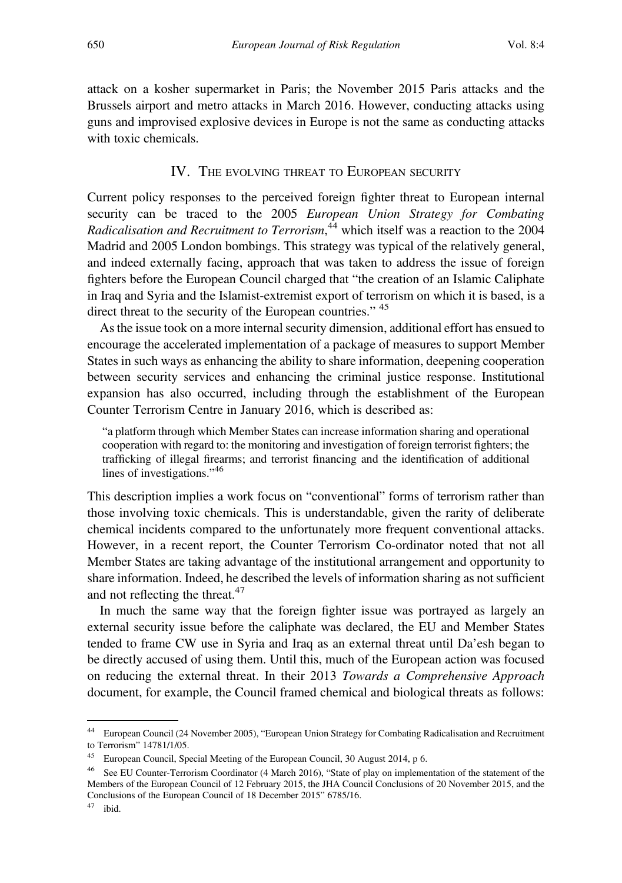attack on a kosher supermarket in Paris; the November 2015 Paris attacks and the Brussels airport and metro attacks in March 2016. However, conducting attacks using guns and improvised explosive devices in Europe is not the same as conducting attacks with toxic chemicals.

#### IV. THE EVOLVING THREAT TO EUROPEAN SECURITY

Current policy responses to the perceived foreign fighter threat to European internal security can be traced to the 2005 European Union Strategy for Combating Radicalisation and Recruitment to Terrorism,<sup>44</sup> which itself was a reaction to the 2004 Madrid and 2005 London bombings. This strategy was typical of the relatively general, and indeed externally facing, approach that was taken to address the issue of foreign fighters before the European Council charged that "the creation of an Islamic Caliphate in Iraq and Syria and the Islamist-extremist export of terrorism on which it is based, is a direct threat to the security of the European countries." <sup>45</sup>

As the issue took on a more internal security dimension, additional effort has ensued to encourage the accelerated implementation of a package of measures to support Member States in such ways as enhancing the ability to share information, deepening cooperation between security services and enhancing the criminal justice response. Institutional expansion has also occurred, including through the establishment of the European Counter Terrorism Centre in January 2016, which is described as:

"a platform through which Member States can increase information sharing and operational cooperation with regard to: the monitoring and investigation of foreign terrorist fighters; the trafficking of illegal firearms; and terrorist financing and the identification of additional lines of investigations."<sup>46</sup>

This description implies a work focus on "conventional" forms of terrorism rather than those involving toxic chemicals. This is understandable, given the rarity of deliberate chemical incidents compared to the unfortunately more frequent conventional attacks. However, in a recent report, the Counter Terrorism Co-ordinator noted that not all Member States are taking advantage of the institutional arrangement and opportunity to share information. Indeed, he described the levels of information sharing as not sufficient and not reflecting the threat.<sup>47</sup>

In much the same way that the foreign fighter issue was portrayed as largely an external security issue before the caliphate was declared, the EU and Member States tended to frame CW use in Syria and Iraq as an external threat until Da'esh began to be directly accused of using them. Until this, much of the European action was focused on reducing the external threat. In their 2013 Towards a Comprehensive Approach document, for example, the Council framed chemical and biological threats as follows:

<sup>44</sup> European Council (24 November 2005), "European Union Strategy for Combating Radicalisation and Recruitment to Terrorism" 14781/1/05.

<sup>45</sup> European Council, Special Meeting of the European Council, 30 August 2014, p 6.

<sup>&</sup>lt;sup>46</sup> See EU Counter-Terrorism Coordinator (4 March 2016), "State of play on implementation of the statement of the Members of the European Council of 12 February 2015, the JHA Council Conclusions of 20 November 2015, and the Conclusions of the European Council of 18 December 2015" 6785/16.

<sup>47</sup> ibid.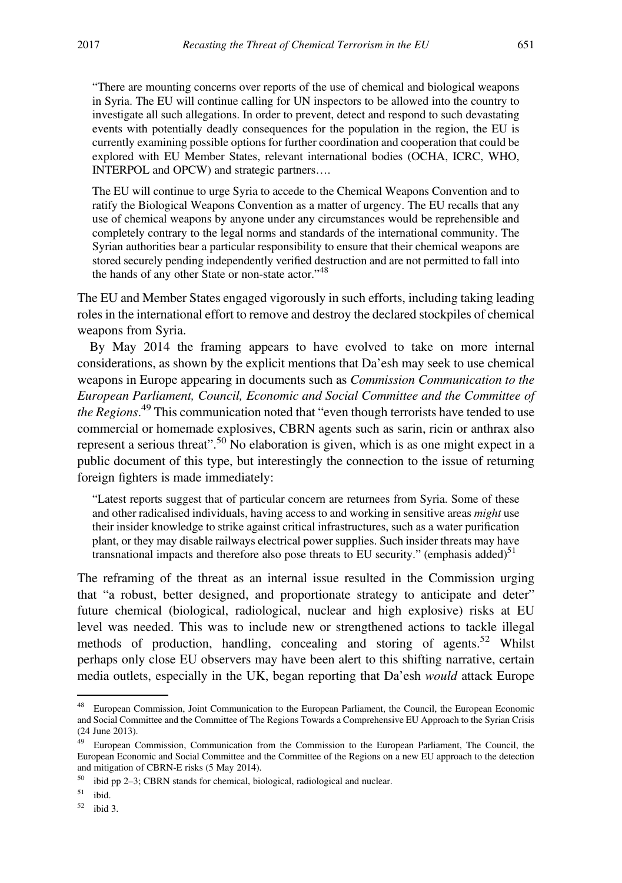"There are mounting concerns over reports of the use of chemical and biological weapons in Syria. The EU will continue calling for UN inspectors to be allowed into the country to investigate all such allegations. In order to prevent, detect and respond to such devastating events with potentially deadly consequences for the population in the region, the EU is currently examining possible options for further coordination and cooperation that could be explored with EU Member States, relevant international bodies (OCHA, ICRC, WHO, INTERPOL and OPCW) and strategic partners….

The EU will continue to urge Syria to accede to the Chemical Weapons Convention and to ratify the Biological Weapons Convention as a matter of urgency. The EU recalls that any use of chemical weapons by anyone under any circumstances would be reprehensible and completely contrary to the legal norms and standards of the international community. The Syrian authorities bear a particular responsibility to ensure that their chemical weapons are stored securely pending independently verified destruction and are not permitted to fall into the hands of any other State or non-state actor."<sup>48</sup>

The EU and Member States engaged vigorously in such efforts, including taking leading roles in the international effort to remove and destroy the declared stockpiles of chemical weapons from Syria.

By May 2014 the framing appears to have evolved to take on more internal considerations, as shown by the explicit mentions that Da'esh may seek to use chemical weapons in Europe appearing in documents such as *Commission Communication to the* European Parliament, Council, Economic and Social Committee and the Committee of the Regions.<sup>49</sup> This communication noted that "even though terrorists have tended to use commercial or homemade explosives, CBRN agents such as sarin, ricin or anthrax also represent a serious threat".<sup>50</sup> No elaboration is given, which is as one might expect in a public document of this type, but interestingly the connection to the issue of returning foreign fighters is made immediately:

"Latest reports suggest that of particular concern are returnees from Syria. Some of these and other radicalised individuals, having access to and working in sensitive areas might use their insider knowledge to strike against critical infrastructures, such as a water purification plant, or they may disable railways electrical power supplies. Such insider threats may have transnational impacts and therefore also pose threats to EU security." (emphasis added) $51$ 

The reframing of the threat as an internal issue resulted in the Commission urging that "a robust, better designed, and proportionate strategy to anticipate and deter" future chemical (biological, radiological, nuclear and high explosive) risks at EU level was needed. This was to include new or strengthened actions to tackle illegal methods of production, handling, concealing and storing of agents.<sup>52</sup> Whilst perhaps only close EU observers may have been alert to this shifting narrative, certain media outlets, especially in the UK, began reporting that Da'esh would attack Europe

<sup>48</sup> European Commission, Joint Communication to the European Parliament, the Council, the European Economic and Social Committee and the Committee of The Regions Towards a Comprehensive EU Approach to the Syrian Crisis (24 June 2013).

<sup>49</sup> European Commission, Communication from the Commission to the European Parliament, The Council, the European Economic and Social Committee and the Committee of the Regions on a new EU approach to the detection and mitigation of CBRN-E risks (5 May 2014).

<sup>50</sup> ibid pp 2–3; CBRN stands for chemical, biological, radiological and nuclear.

<sup>51</sup> ibid.

<sup>52</sup> ibid 3.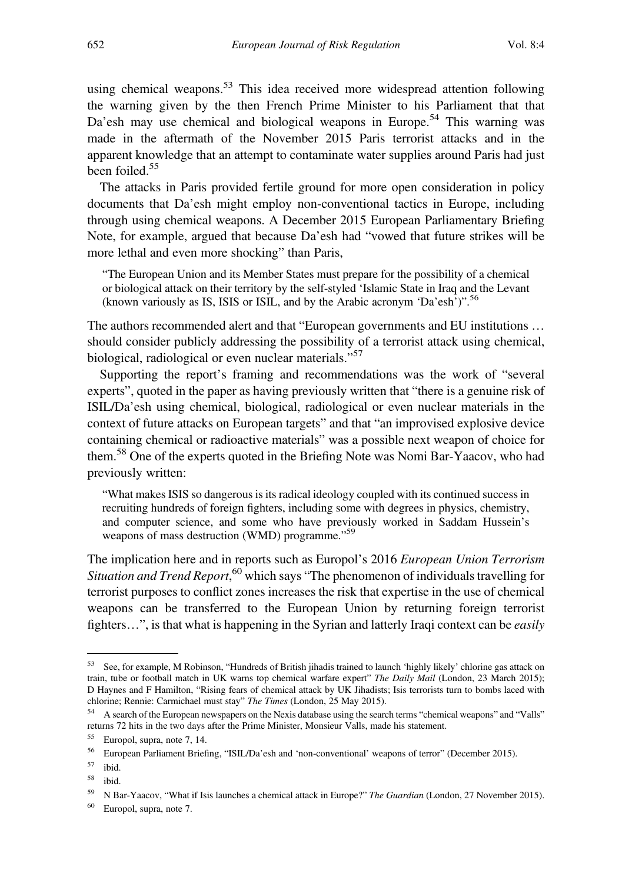using chemical weapons.<sup>53</sup> This idea received more widespread attention following the warning given by the then French Prime Minister to his Parliament that that Da'esh may use chemical and biological weapons in Europe.<sup>54</sup> This warning was made in the aftermath of the November 2015 Paris terrorist attacks and in the apparent knowledge that an attempt to contaminate water supplies around Paris had just been foiled.<sup>55</sup>

The attacks in Paris provided fertile ground for more open consideration in policy documents that Da'esh might employ non-conventional tactics in Europe, including through using chemical weapons. A December 2015 European Parliamentary Briefing Note, for example, argued that because Da'esh had "vowed that future strikes will be more lethal and even more shocking" than Paris,

"The European Union and its Member States must prepare for the possibility of a chemical or biological attack on their territory by the self-styled 'Islamic State in Iraq and the Levant (known variously as IS, ISIS or ISIL, and by the Arabic acronym 'Da'esh')". 56

The authors recommended alert and that "European governments and EU institutions … should consider publicly addressing the possibility of a terrorist attack using chemical, biological, radiological or even nuclear materials."<sup>57</sup>

Supporting the report's framing and recommendations was the work of "several experts", quoted in the paper as having previously written that "there is a genuine risk of ISIL/Da'esh using chemical, biological, radiological or even nuclear materials in the context of future attacks on European targets" and that "an improvised explosive device containing chemical or radioactive materials" was a possible next weapon of choice for them.<sup>58</sup> One of the experts quoted in the Briefing Note was Nomi Bar-Yaacov, who had previously written:

"What makes ISIS so dangerous is its radical ideology coupled with its continued success in recruiting hundreds of foreign fighters, including some with degrees in physics, chemistry, and computer science, and some who have previously worked in Saddam Hussein's weapons of mass destruction (WMD) programme."<sup>59</sup>

The implication here and in reports such as Europol's 2016 *European Union Terrorism* Situation and Trend Report,<sup>60</sup> which says "The phenomenon of individuals travelling for terrorist purposes to conflict zones increases the risk that expertise in the use of chemical weapons can be transferred to the European Union by returning foreign terrorist fighters...", is that what is happening in the Syrian and latterly Iraqi context can be *easily* 

<sup>53</sup> See, for example, M Robinson, "Hundreds of British jihadis trained to launch 'highly likely' chlorine gas attack on train, tube or football match in UK warns top chemical warfare expert" The Daily Mail (London, 23 March 2015); D Haynes and F Hamilton, "Rising fears of chemical attack by UK Jihadists; Isis terrorists turn to bombs laced with chlorine; Rennie: Carmichael must stay" The Times (London, 25 May 2015).

<sup>54</sup> A search of the European newspapers on the Nexis database using the search terms "chemical weapons" and "Valls" returns 72 hits in the two days after the Prime Minister, Monsieur Valls, made his statement.

<sup>55</sup> Europol, supra, note 7, 14.

<sup>&</sup>lt;sup>56</sup> European Parliament Briefing, "ISIL/Da'esh and 'non-conventional' weapons of terror" (December 2015).<br><sup>57</sup> ibid

ibid.

<sup>58</sup> ibid.

<sup>&</sup>lt;sup>59</sup> N Bar-Yaacov, "What if Isis launches a chemical attack in Europe?" The Guardian (London, 27 November 2015).

<sup>60</sup> Europol, supra, note 7.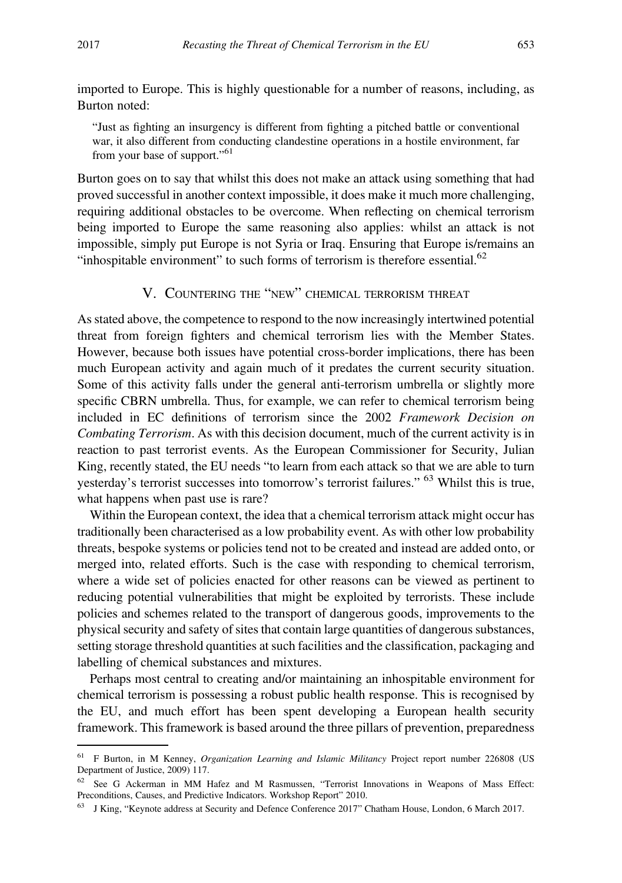imported to Europe. This is highly questionable for a number of reasons, including, as Burton noted:

"Just as fighting an insurgency is different from fighting a pitched battle or conventional war, it also different from conducting clandestine operations in a hostile environment, far from your base of support."<sup>61</sup>

Burton goes on to say that whilst this does not make an attack using something that had proved successful in another context impossible, it does make it much more challenging, requiring additional obstacles to be overcome. When reflecting on chemical terrorism being imported to Europe the same reasoning also applies: whilst an attack is not impossible, simply put Europe is not Syria or Iraq. Ensuring that Europe is/remains an "inhospitable environment" to such forms of terrorism is therefore essential.<sup>62</sup>

## V. COUNTERING THE "NEW" CHEMICAL TERRORISM THREAT

As stated above, the competence to respond to the now increasingly intertwined potential threat from foreign fighters and chemical terrorism lies with the Member States. However, because both issues have potential cross-border implications, there has been much European activity and again much of it predates the current security situation. Some of this activity falls under the general anti-terrorism umbrella or slightly more specific CBRN umbrella. Thus, for example, we can refer to chemical terrorism being included in EC definitions of terrorism since the 2002 Framework Decision on Combating Terrorism. As with this decision document, much of the current activity is in reaction to past terrorist events. As the European Commissioner for Security, Julian King, recently stated, the EU needs "to learn from each attack so that we are able to turn yesterday's terrorist successes into tomorrow's terrorist failures." <sup>63</sup> Whilst this is true, what happens when past use is rare?

Within the European context, the idea that a chemical terrorism attack might occur has traditionally been characterised as a low probability event. As with other low probability threats, bespoke systems or policies tend not to be created and instead are added onto, or merged into, related efforts. Such is the case with responding to chemical terrorism, where a wide set of policies enacted for other reasons can be viewed as pertinent to reducing potential vulnerabilities that might be exploited by terrorists. These include policies and schemes related to the transport of dangerous goods, improvements to the physical security and safety of sites that contain large quantities of dangerous substances, setting storage threshold quantities at such facilities and the classification, packaging and labelling of chemical substances and mixtures.

Perhaps most central to creating and/or maintaining an inhospitable environment for chemical terrorism is possessing a robust public health response. This is recognised by the EU, and much effort has been spent developing a European health security framework. This framework is based around the three pillars of prevention, preparedness

<sup>61</sup> F Burton, in M Kenney, Organization Learning and Islamic Militancy Project report number 226808 (US Department of Justice, 2009) 117.

<sup>62</sup> See G Ackerman in MM Hafez and M Rasmussen, "Terrorist Innovations in Weapons of Mass Effect: Preconditions, Causes, and Predictive Indicators. Workshop Report" 2010.

<sup>63</sup> J King, "Keynote address at Security and Defence Conference 2017" Chatham House, London, 6 March 2017.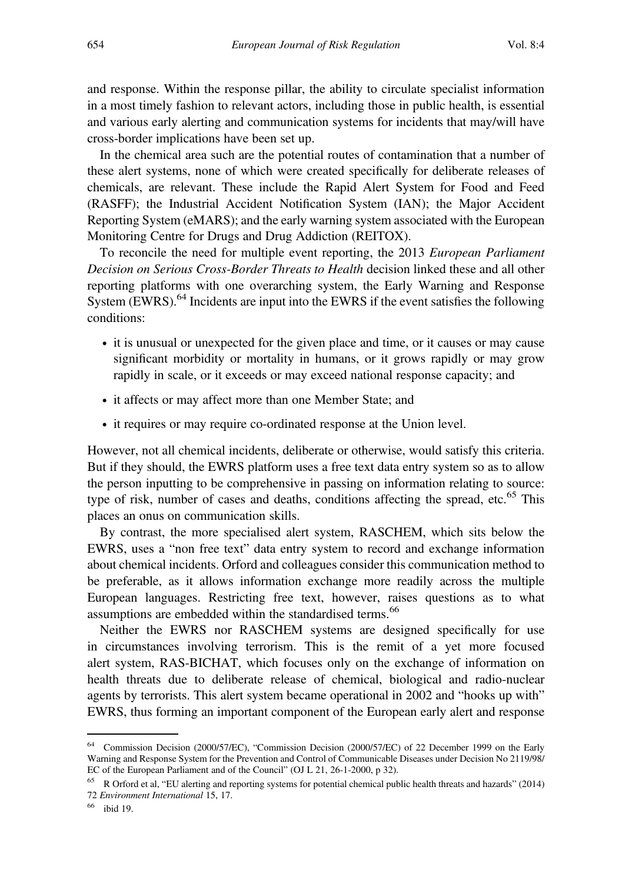and response. Within the response pillar, the ability to circulate specialist information in a most timely fashion to relevant actors, including those in public health, is essential and various early alerting and communication systems for incidents that may/will have cross-border implications have been set up.

In the chemical area such are the potential routes of contamination that a number of these alert systems, none of which were created specifically for deliberate releases of chemicals, are relevant. These include the Rapid Alert System for Food and Feed (RASFF); the Industrial Accident Notification System (IAN); the Major Accident Reporting System (eMARS); and the early warning system associated with the European Monitoring Centre for Drugs and Drug Addiction (REITOX).

To reconcile the need for multiple event reporting, the 2013 European Parliament Decision on Serious Cross-Border Threats to Health decision linked these and all other reporting platforms with one overarching system, the Early Warning and Response System (EWRS).<sup>64</sup> Incidents are input into the EWRS if the event satisfies the following conditions:

- ∙ it is unusual or unexpected for the given place and time, or it causes or may cause significant morbidity or mortality in humans, or it grows rapidly or may grow rapidly in scale, or it exceeds or may exceed national response capacity; and
- ∙ it affects or may affect more than one Member State; and
- ∙ it requires or may require co-ordinated response at the Union level.

However, not all chemical incidents, deliberate or otherwise, would satisfy this criteria. But if they should, the EWRS platform uses a free text data entry system so as to allow the person inputting to be comprehensive in passing on information relating to source: type of risk, number of cases and deaths, conditions affecting the spread, etc.<sup>65</sup> This places an onus on communication skills.

By contrast, the more specialised alert system, RASCHEM, which sits below the EWRS, uses a "non free text" data entry system to record and exchange information about chemical incidents. Orford and colleagues consider this communication method to be preferable, as it allows information exchange more readily across the multiple European languages. Restricting free text, however, raises questions as to what assumptions are embedded within the standardised terms.<sup>66</sup>

Neither the EWRS nor RASCHEM systems are designed specifically for use in circumstances involving terrorism. This is the remit of a yet more focused alert system, RAS-BICHAT, which focuses only on the exchange of information on health threats due to deliberate release of chemical, biological and radio-nuclear agents by terrorists. This alert system became operational in 2002 and "hooks up with" EWRS, thus forming an important component of the European early alert and response

<sup>64</sup> Commission Decision (2000/57/EC), "Commission Decision (2000/57/EC) of 22 December 1999 on the Early Warning and Response System for the Prevention and Control of Communicable Diseases under Decision No 2119/98/ EC of the European Parliament and of the Council" (OJ L 21, 26-1-2000, p 32).

<sup>65</sup> R Orford et al, "EU alerting and reporting systems for potential chemical public health threats and hazards" (2014) 72 Environment International 15, 17.

<sup>66</sup> ibid 19.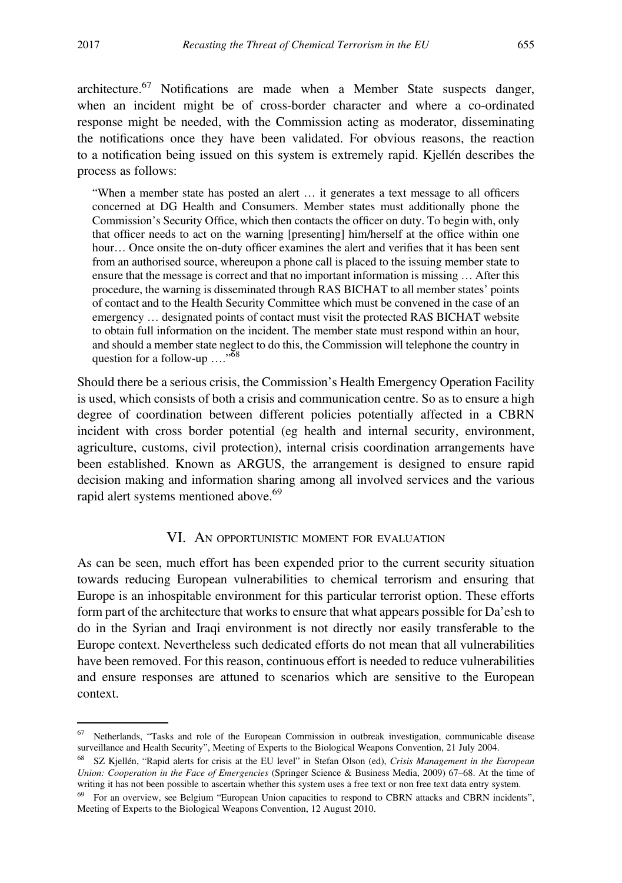architecture.67 Notifications are made when a Member State suspects danger, when an incident might be of cross-border character and where a co-ordinated response might be needed, with the Commission acting as moderator, disseminating the notifications once they have been validated. For obvious reasons, the reaction to a notification being issued on this system is extremely rapid. Kjellén describes the process as follows:

"When a member state has posted an alert … it generates a text message to all officers concerned at DG Health and Consumers. Member states must additionally phone the Commission's Security Office, which then contacts the officer on duty. To begin with, only that officer needs to act on the warning [presenting] him/herself at the office within one hour… Once onsite the on-duty officer examines the alert and verifies that it has been sent from an authorised source, whereupon a phone call is placed to the issuing member state to ensure that the message is correct and that no important information is missing … After this procedure, the warning is disseminated through RAS BICHAT to all member states' points of contact and to the Health Security Committee which must be convened in the case of an emergency … designated points of contact must visit the protected RAS BICHAT website to obtain full information on the incident. The member state must respond within an hour, and should a member state neglect to do this, the Commission will telephone the country in question for a follow-up ...."<sup>68</sup>

Should there be a serious crisis, the Commission's Health Emergency Operation Facility is used, which consists of both a crisis and communication centre. So as to ensure a high degree of coordination between different policies potentially affected in a CBRN incident with cross border potential (eg health and internal security, environment, agriculture, customs, civil protection), internal crisis coordination arrangements have been established. Known as ARGUS, the arrangement is designed to ensure rapid decision making and information sharing among all involved services and the various rapid alert systems mentioned above.<sup>69</sup>

### VI. AN OPPORTUNISTIC MOMENT FOR EVALUATION

As can be seen, much effort has been expended prior to the current security situation towards reducing European vulnerabilities to chemical terrorism and ensuring that Europe is an inhospitable environment for this particular terrorist option. These efforts form part of the architecture that works to ensure that what appears possible for Da'esh to do in the Syrian and Iraqi environment is not directly nor easily transferable to the Europe context. Nevertheless such dedicated efforts do not mean that all vulnerabilities have been removed. For this reason, continuous effort is needed to reduce vulnerabilities and ensure responses are attuned to scenarios which are sensitive to the European context.

<sup>67</sup> Netherlands, "Tasks and role of the European Commission in outbreak investigation, communicable disease surveillance and Health Security", Meeting of Experts to the Biological Weapons Convention, 21 July 2004.

<sup>68</sup> SZ Kjellén, "Rapid alerts for crisis at the EU level" in Stefan Olson (ed), Crisis Management in the European Union: Cooperation in the Face of Emergencies (Springer Science & Business Media, 2009) 67–68. At the time of writing it has not been possible to ascertain whether this system uses a free text or non free text data entry system.

<sup>69</sup> For an overview, see Belgium "European Union capacities to respond to CBRN attacks and CBRN incidents", Meeting of Experts to the Biological Weapons Convention, 12 August 2010.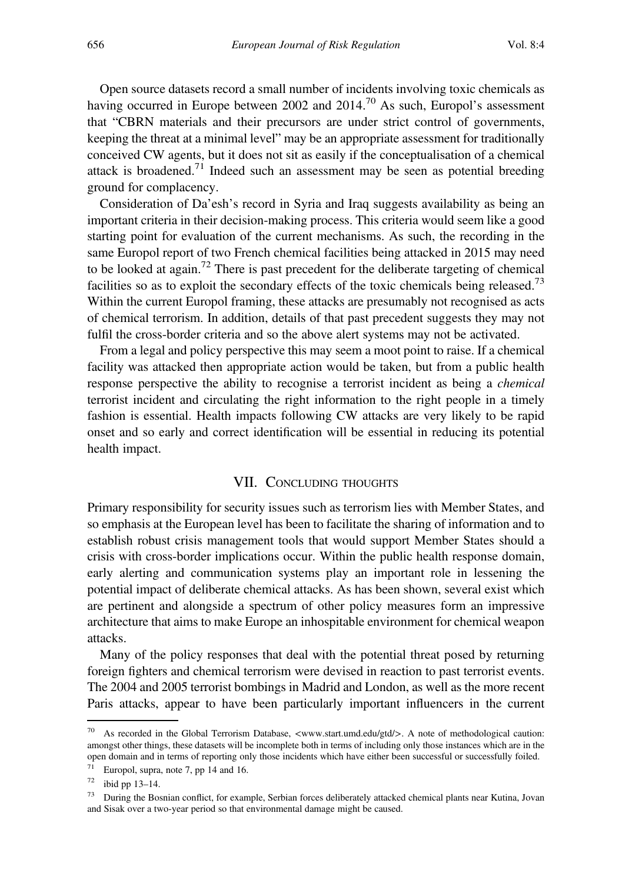Open source datasets record a small number of incidents involving toxic chemicals as having occurred in Europe between 2002 and  $2014$ .<sup>70</sup> As such, Europol's assessment that "CBRN materials and their precursors are under strict control of governments, keeping the threat at a minimal level" may be an appropriate assessment for traditionally conceived CW agents, but it does not sit as easily if the conceptualisation of a chemical attack is broadened.<sup>71</sup> Indeed such an assessment may be seen as potential breeding ground for complacency.

Consideration of Da'esh's record in Syria and Iraq suggests availability as being an important criteria in their decision-making process. This criteria would seem like a good starting point for evaluation of the current mechanisms. As such, the recording in the same Europol report of two French chemical facilities being attacked in 2015 may need to be looked at again.<sup>72</sup> There is past precedent for the deliberate targeting of chemical facilities so as to exploit the secondary effects of the toxic chemicals being released.<sup>73</sup> Within the current Europol framing, these attacks are presumably not recognised as acts of chemical terrorism. In addition, details of that past precedent suggests they may not fulfil the cross-border criteria and so the above alert systems may not be activated.

From a legal and policy perspective this may seem a moot point to raise. If a chemical facility was attacked then appropriate action would be taken, but from a public health response perspective the ability to recognise a terrorist incident as being a chemical terrorist incident and circulating the right information to the right people in a timely fashion is essential. Health impacts following CW attacks are very likely to be rapid onset and so early and correct identification will be essential in reducing its potential health impact.

### VII. CONCLUDING THOUGHTS

Primary responsibility for security issues such as terrorism lies with Member States, and so emphasis at the European level has been to facilitate the sharing of information and to establish robust crisis management tools that would support Member States should a crisis with cross-border implications occur. Within the public health response domain, early alerting and communication systems play an important role in lessening the potential impact of deliberate chemical attacks. As has been shown, several exist which are pertinent and alongside a spectrum of other policy measures form an impressive architecture that aims to make Europe an inhospitable environment for chemical weapon attacks.

Many of the policy responses that deal with the potential threat posed by returning foreign fighters and chemical terrorism were devised in reaction to past terrorist events. The 2004 and 2005 terrorist bombings in Madrid and London, as well as the more recent Paris attacks, appear to have been particularly important influencers in the current

<sup>&</sup>lt;sup>70</sup> As recorded in the Global Terrorism Database,  $\langle$ <www.start.umd.edu/gtd/>>. A note of methodological caution: amongst other things, these datasets will be incomplete both in terms of including only those instances which are in the open domain and in terms of reporting only those incidents which have either been successful or successfully foiled.<br><sup>71</sup> Pressed prove a 24  $\frac{2}{3}$  and 14 and 14

<sup>&</sup>lt;sup>71</sup> Europol, supra, note 7, pp 14 and 16.<br><sup>72</sup> ibid pp 13–14

ibid pp 13–14.

 $^{73}$  During the Bosnian conflict, for example, Serbian forces deliberately attacked chemical plants near Kutina, Jovan and Sisak over a two-year period so that environmental damage might be caused.